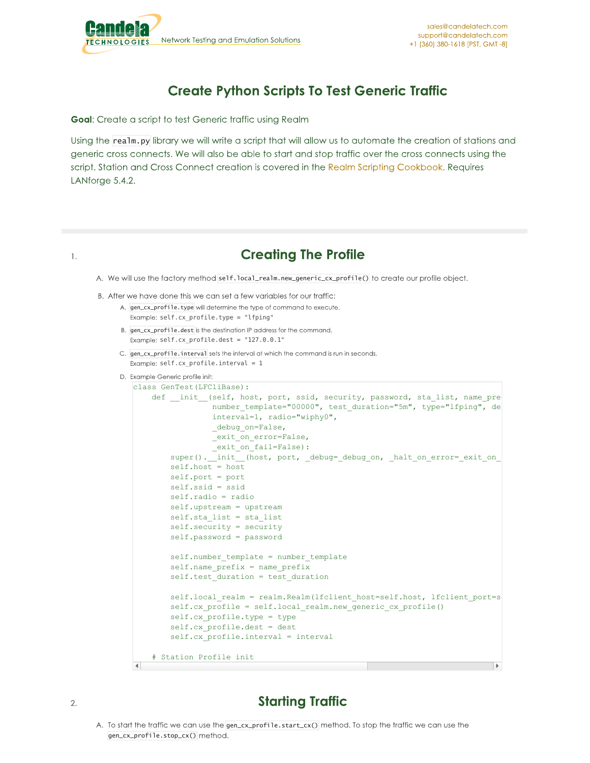

## **Create Python Scripts To Test Generic Traffic**

Goal: Create a script to test Generic traffic using Realm

Using the realm.py library we will write a script that will allow us to automate the creation of stations and generic cross connects. We will also be able to start and stop traffic over the cross connects using the script. Station and Cross Connect creation is covered in the Realm Scripting Cookbook. Requires LANforge 5.4.2.

## 1.

## **Creating The Profile**

A. We will use the factory method self.local\_realm.new\_generic\_cx\_profile() to create our profile object.

- B. After we have done this we can set a few variables for our traffic:
	- A. gen\_cx\_profile.type will determine the type of command to execute. Example: self.cx profile.type = "lfping"
	- B. gen\_cx\_profile.dest is the destination IP address for the command. Example:  $self.cx\_profile.dest = "127.0.0.1"$
	- C. gen\_cx\_profile.interval sets the interval at which the command is run in seconds. Example:  $self.cx$ \_profile.interval = 1
	- D. Example Generic profile init:

```
class GenTest(LFCliBase):
    def _init_(self, host, port, ssid, security, password, sta_list, name_pre
                 number template="00000", test duration="5m", type="lfping", de
                 interval=1, radio="wiphy0",
                 _debug_on=False,<br>_exit_on_error=False,
                  _exit_on_error=False,
                  exit on fail=False):
                  init (host, port, debug= debug on, halt on error= exit on
        self.host = host
        self.port = port
        self.ssid = ssid
        self.radio = radio
        self.upstream = upstream
        self.sta_list = sta_list
        self.security = security
        self.password = password
        self.number template = number template
        self.name prefix = name prefix
        self.test duration = test duration
        self.local_realm = realm.Realm(lfclient_host=self.host, lfclient_port=s
        self.cx profile = self.local realm.new generic cx profile()
        self.cx profile.type = type
        self.cx_profile.dest = dest
        self.cx profile.interval = interval
    # Station Profile init
\left| \cdot \right|
```
## **Starting Traffic**

A. To start the traffic we can use the gen\_cx\_profile.start\_cx() method. To stop the traffic we can use the gen\_cx\_profile.stop\_cx()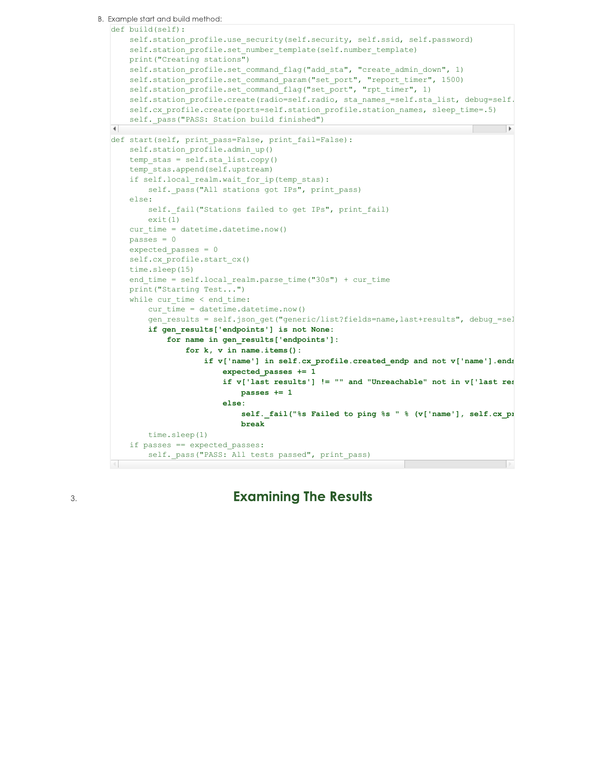```
B. Example start and build method:
  def build(self):
      self.station profile.use security(self.security, self.ssid, self.password)
       self.station profile.set number template(self.number template)
      print("Creating stations")
      self.station_profile.set_command_flag("add_sta", "create_admin_down", 1)
      self.station_profile.set_command_param("set_port", "report_timer", 1500)
      self.station_profile.set_command_flag("set_port", "rpt_timer", 1)
      self.station profile.create(radio=self.radio, sta_names_=self.sta_list, debug=self.
      self.cx profile.create(ports=self.station profile.station names, sleep time=.5)
      self. pass("PASS: Station build finished")
   \blacktriangleleftdef start(self, print pass=False, print fail=False):
      self.station profile.admin up()
      temp stas = self.sta list.copy()
      temp_stas.append(self.upstream)
      if self.local_realm.wait_for_ip(temp_stas):
          self._pass("All stations got IPs", print_pass)
      else:
          self. fail("Stations failed to get IPs", print fail)
          ext(1)cur time = datetime.datetime.now()
      passes = 0
      expected_passes = 0
      self.cx profile.start cx()
      time.sleep(15)
      end time = self.local realm.parse time("30s") + cur time
      print("Starting Test...")
      while cur time < end time:
           cur time = datetime.datetime.now()
           gen_results = self.json_get("generic/list?fields=name,last+results", debug =sel
           if gen_results['endpoints'] is not None:
               for name in gen_results['endpoints']:
                   for k, v in name.items():
                       if v['name'] in self.cx profile.created endp and not v['name'].ends
                           expected_passes += 1
                           if v['last results'] != "" and "Unreachable" not in v['last results']:
                               passes += 1
                           else:
```
3.

**Examining The Results** 

**break**

self. pass("PASS: All tests passed", print pass)

time.sleep(1)

if passes == expected\_passes:

 $self.$ *fail*("%s Failed to ping %s " % (v['name'], self.cx\_profile.dest)